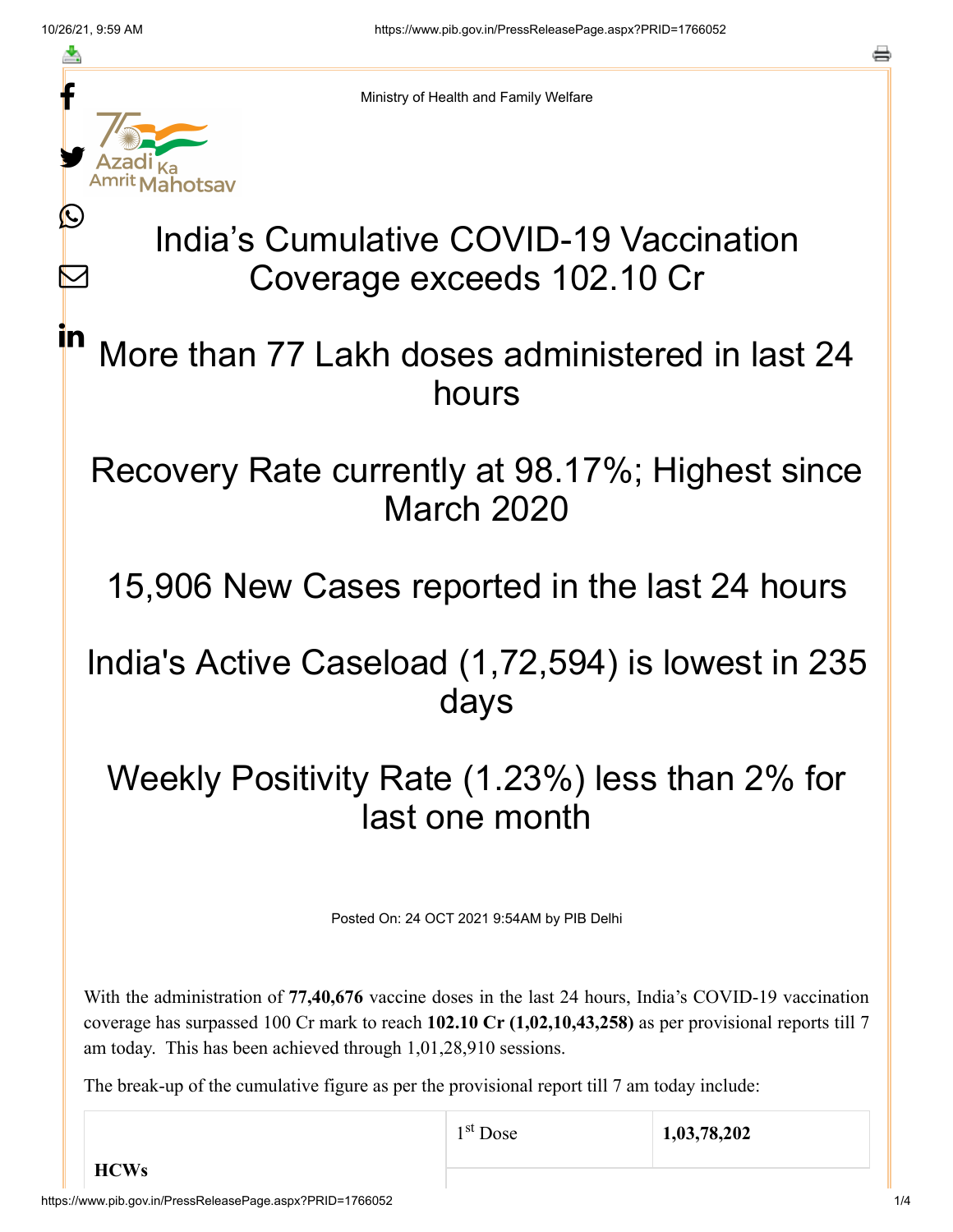≛

Ŀ

 $\bm{\nabla}$ 

in



Ministry of Health and Family Welfare

# India's Cumulative COVID-19 Vaccination Coverage exceeds 102.10 Cr

### More than 77 Lakh doses administered in last 24 hours

#### Recovery Rate currently at 98.17%; Highest since March 2020

## 15,906 New Cases reported in the last 24 hours

#### India's Active Caseload (1,72,594) is lowest in 235 days

### Weekly Positivity Rate (1.23%) less than 2% for last one month

Posted On: 24 OCT 2021 9:54AM by PIB Delhi

With the administration of **77,40,676** vaccine doses in the last 24 hours, India's COVID-19 vaccination coverage has surpassed 100 Cr mark to reach **102.10 Cr (1,02,10,43,258)** as per provisional reports till 7 am today. This has been achieved through 1,01,28,910 sessions.

The break-up of the cumulative figure as per the provisional report till 7 am today include: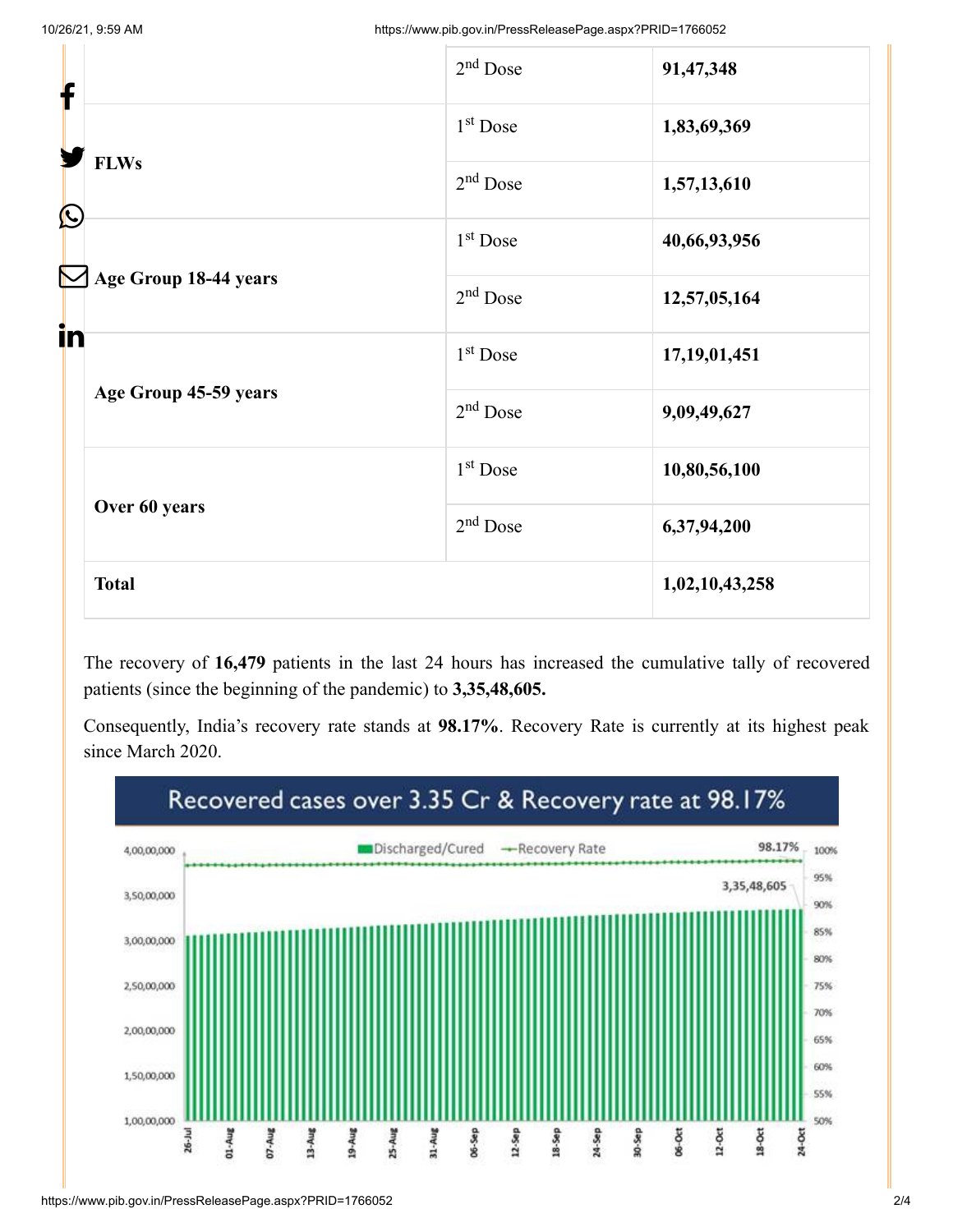| f                           | $2nd$ Dose           | 91,47,348       |
|-----------------------------|----------------------|-----------------|
|                             | $1st$ Dose           | 1,83,69,369     |
| <b>FLWs</b><br>$\bigcirc$   | $2nd$ Dose           | 1,57,13,610     |
|                             | 1 <sup>st</sup> Dose | 40,66,93,956    |
| Age Group 18-44 years<br>in | $2nd$ Dose           | 12,57,05,164    |
|                             | $1st$ Dose           | 17, 19, 01, 451 |
| Age Group 45-59 years       | $2nd$ Dose           | 9,09,49,627     |
|                             | 1 <sup>st</sup> Dose | 10,80,56,100    |
| Over 60 years               | $2nd$ Dose           | 6,37,94,200     |
| <b>Total</b>                |                      | 1,02,10,43,258  |

The recovery of **16,479** patients in the last 24 hours has increased the cumulative tally of recovered patients (since the beginning of the pandemic) to **3,35,48,605.**

Consequently, India's recovery rate stands at **98.17%**. Recovery Rate is currently at its highest peak since March 2020.

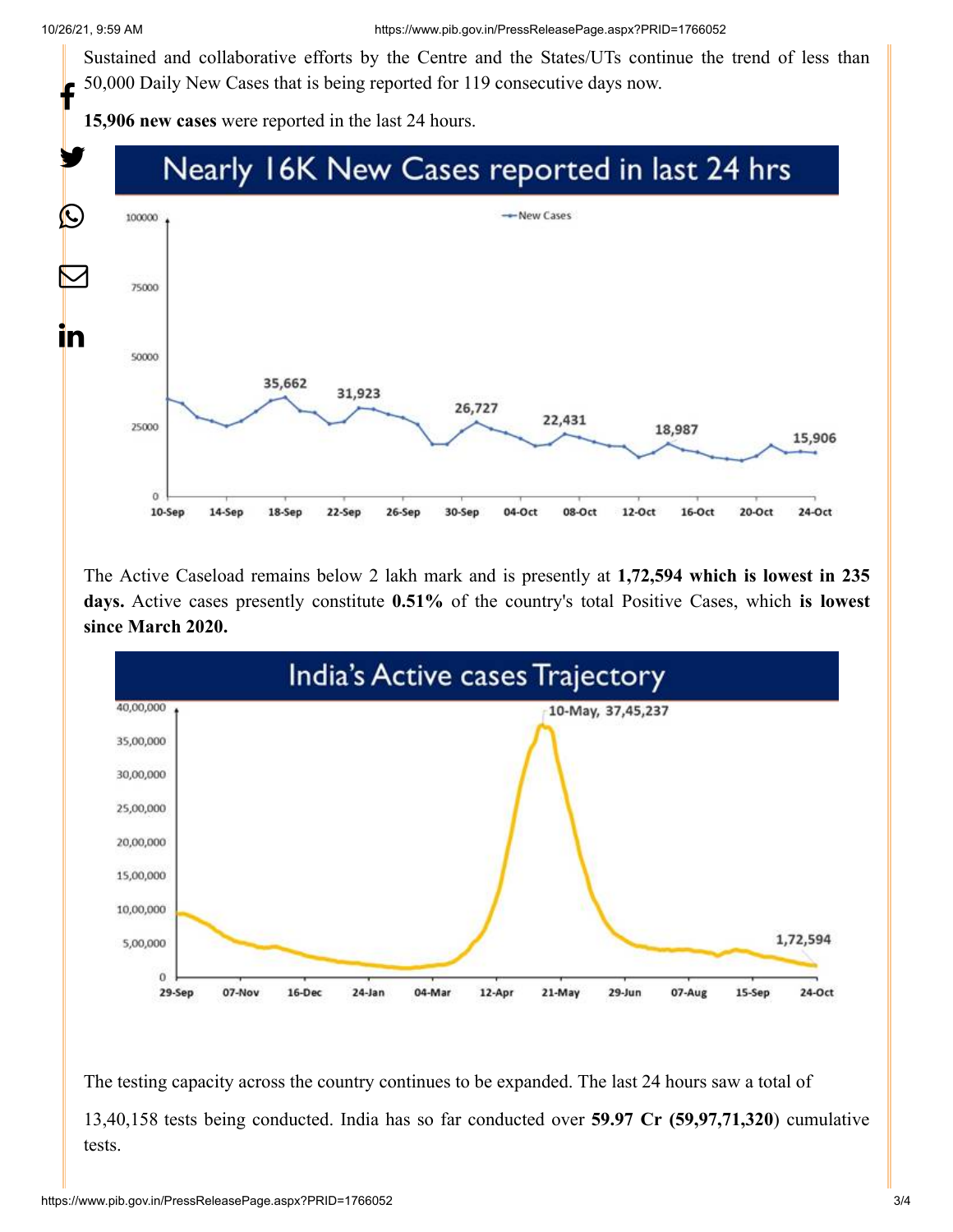Sustained and collaborative efforts by the Centre and the States/UTs continue the trend of less than 50,000 Daily New Cases that is being reported for 119 consecutive days now. f

**15,906 new cases** were reported in the last 24 hours.



The Active Caseload remains below 2 lakh mark and is presently at **1,72,594 which is lowest in 235 days.** Active cases presently constitute **0.51%** of the country's total Positive Cases, which **is lowest since March 2020.**



The testing capacity across the country continues to be expanded. The last 24 hours saw a total of 13,40,158 tests being conducted. India has so far conducted over **59.97 Cr (59,97,71,320**) cumulative tests.